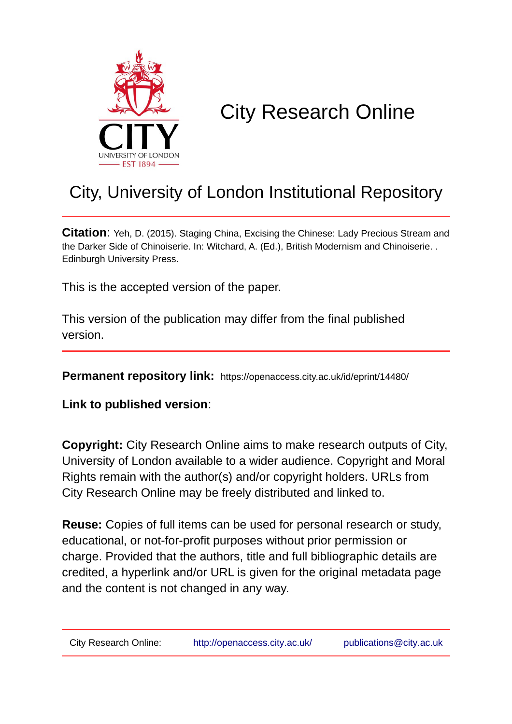

# City Research Online

## City, University of London Institutional Repository

**Citation**: Yeh, D. (2015). Staging China, Excising the Chinese: Lady Precious Stream and the Darker Side of Chinoiserie. In: Witchard, A. (Ed.), British Modernism and Chinoiserie. . Edinburgh University Press.

This is the accepted version of the paper.

This version of the publication may differ from the final published version.

**Permanent repository link:** https://openaccess.city.ac.uk/id/eprint/14480/

**Link to published version**:

**Copyright:** City Research Online aims to make research outputs of City, University of London available to a wider audience. Copyright and Moral Rights remain with the author(s) and/or copyright holders. URLs from City Research Online may be freely distributed and linked to.

**Reuse:** Copies of full items can be used for personal research or study, educational, or not-for-profit purposes without prior permission or charge. Provided that the authors, title and full bibliographic details are credited, a hyperlink and/or URL is given for the original metadata page and the content is not changed in any way.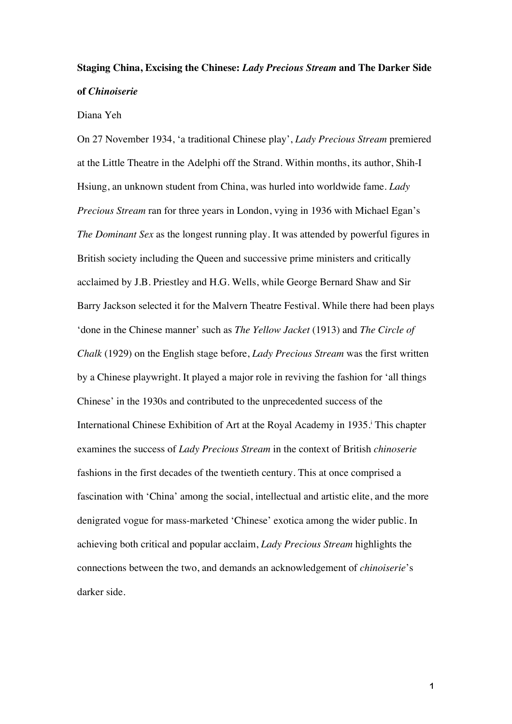### **Staging China, Excising the Chinese:** *Lady Precious Stream* **and The Darker Side of** *Chinoiserie*

#### Diana Yeh

On 27 November 1934, 'a traditional Chinese play', *Lady Precious Stream* premiered at the Little Theatre in the Adelphi off the Strand. Within months, its author, Shih-I Hsiung, an unknown student from China, was hurled into worldwide fame. *Lady Precious Stream* ran for three years in London, vying in 1936 with Michael Egan's *The Dominant Sex* as the longest running play. It was attended by powerful figures in British society including the Queen and successive prime ministers and critically acclaimed by J.B. Priestley and H.G. Wells, while George Bernard Shaw and Sir Barry Jackson selected it for the Malvern Theatre Festival. While there had been plays 'done in the Chinese manner' such as *The Yellow Jacket* (1913) and *The Circle of Chalk* (1929) on the English stage before, *Lady Precious Stream* was the first written by a Chinese playwright. It played a major role in reviving the fashion for 'all things Chinese' in the 1930s and contributed to the unprecedented success of the International Chinese Exhibition of Art at the Royal Academy in 1935.<sup>†</sup> This chapter examines the success of *Lady Precious Stream* in the context of British *chinoserie*  fashions in the first decades of the twentieth century. This at once comprised a fascination with 'China' among the social, intellectual and artistic elite, and the more denigrated vogue for mass-marketed 'Chinese' exotica among the wider public. In achieving both critical and popular acclaim, *Lady Precious Stream* highlights the connections between the two, and demands an acknowledgement of *chinoiserie*'s darker side.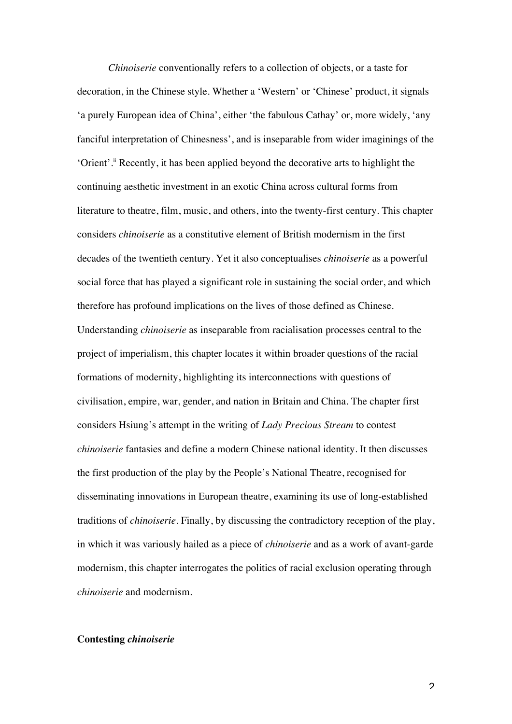*Chinoiserie* conventionally refers to a collection of objects, or a taste for decoration, in the Chinese style. Whether a 'Western' or 'Chinese' product, it signals 'a purely European idea of China', either 'the fabulous Cathay' or, more widely, 'any fanciful interpretation of Chinesness', and is inseparable from wider imaginings of the 'Orient'.ii Recently, it has been applied beyond the decorative arts to highlight the continuing aesthetic investment in an exotic China across cultural forms from literature to theatre, film, music, and others, into the twenty-first century. This chapter considers *chinoiserie* as a constitutive element of British modernism in the first decades of the twentieth century. Yet it also conceptualises *chinoiserie* as a powerful social force that has played a significant role in sustaining the social order, and which therefore has profound implications on the lives of those defined as Chinese. Understanding *chinoiserie* as inseparable from racialisation processes central to the project of imperialism, this chapter locates it within broader questions of the racial formations of modernity, highlighting its interconnections with questions of civilisation, empire, war, gender, and nation in Britain and China. The chapter first considers Hsiung's attempt in the writing of *Lady Precious Stream* to contest *chinoiserie* fantasies and define a modern Chinese national identity. It then discusses the first production of the play by the People's National Theatre, recognised for disseminating innovations in European theatre, examining its use of long-established traditions of *chinoiserie*. Finally, by discussing the contradictory reception of the play, in which it was variously hailed as a piece of *chinoiserie* and as a work of avant-garde modernism, this chapter interrogates the politics of racial exclusion operating through *chinoiserie* and modernism.

#### **Contesting** *chinoiserie*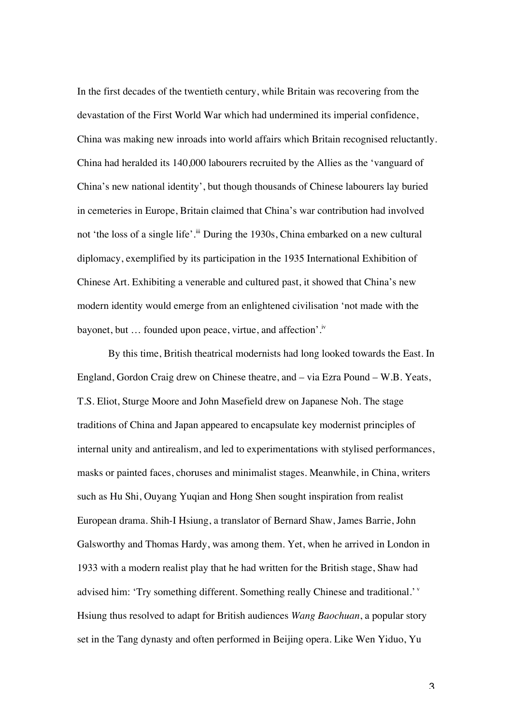In the first decades of the twentieth century, while Britain was recovering from the devastation of the First World War which had undermined its imperial confidence, China was making new inroads into world affairs which Britain recognised reluctantly. China had heralded its 140,000 labourers recruited by the Allies as the 'vanguard of China's new national identity', but though thousands of Chinese labourers lay buried in cemeteries in Europe, Britain claimed that China's war contribution had involved not 'the loss of a single life'.<sup>iii</sup> During the 1930s, China embarked on a new cultural diplomacy, exemplified by its participation in the 1935 International Exhibition of Chinese Art. Exhibiting a venerable and cultured past, it showed that China's new modern identity would emerge from an enlightened civilisation 'not made with the bayonet, but ... founded upon peace, virtue, and affection'.<sup>iv</sup>

By this time, British theatrical modernists had long looked towards the East. In England, Gordon Craig drew on Chinese theatre, and – via Ezra Pound – W.B. Yeats, T.S. Eliot, Sturge Moore and John Masefield drew on Japanese Noh. The stage traditions of China and Japan appeared to encapsulate key modernist principles of internal unity and antirealism, and led to experimentations with stylised performances, masks or painted faces, choruses and minimalist stages. Meanwhile, in China, writers such as Hu Shi, Ouyang Yuqian and Hong Shen sought inspiration from realist European drama. Shih-I Hsiung, a translator of Bernard Shaw, James Barrie, John Galsworthy and Thomas Hardy, was among them. Yet, when he arrived in London in 1933 with a modern realist play that he had written for the British stage, Shaw had advised him: 'Try something different. Something really Chinese and traditional.' <sup>v</sup> Hsiung thus resolved to adapt for British audiences *Wang Baochuan*, a popular story set in the Tang dynasty and often performed in Beijing opera. Like Wen Yiduo, Yu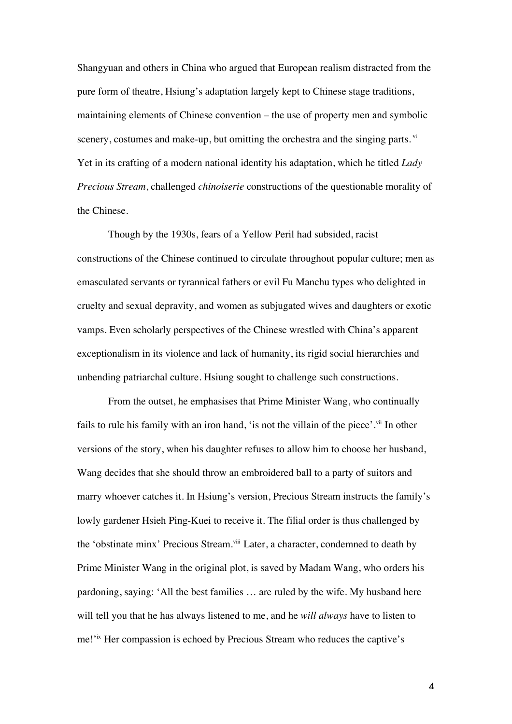Shangyuan and others in China who argued that European realism distracted from the pure form of theatre, Hsiung's adaptation largely kept to Chinese stage traditions, maintaining elements of Chinese convention – the use of property men and symbolic scenery, costumes and make-up, but omitting the orchestra and the singing parts. vi Yet in its crafting of a modern national identity his adaptation, which he titled *Lady Precious Stream*, challenged *chinoiserie* constructions of the questionable morality of the Chinese.

Though by the 1930s, fears of a Yellow Peril had subsided, racist constructions of the Chinese continued to circulate throughout popular culture; men as emasculated servants or tyrannical fathers or evil Fu Manchu types who delighted in cruelty and sexual depravity, and women as subjugated wives and daughters or exotic vamps. Even scholarly perspectives of the Chinese wrestled with China's apparent exceptionalism in its violence and lack of humanity, its rigid social hierarchies and unbending patriarchal culture. Hsiung sought to challenge such constructions.

From the outset, he emphasises that Prime Minister Wang, who continually fails to rule his family with an iron hand, 'is not the villain of the piece'.<sup>vii</sup> In other versions of the story, when his daughter refuses to allow him to choose her husband, Wang decides that she should throw an embroidered ball to a party of suitors and marry whoever catches it. In Hsiung's version, Precious Stream instructs the family's lowly gardener Hsieh Ping-Kuei to receive it. The filial order is thus challenged by the 'obstinate minx' Precious Stream.<sup>viii</sup> Later, a character, condemned to death by Prime Minister Wang in the original plot, is saved by Madam Wang, who orders his pardoning, saying: 'All the best families … are ruled by the wife. My husband here will tell you that he has always listened to me, and he *will always* have to listen to me!'ix Her compassion is echoed by Precious Stream who reduces the captive's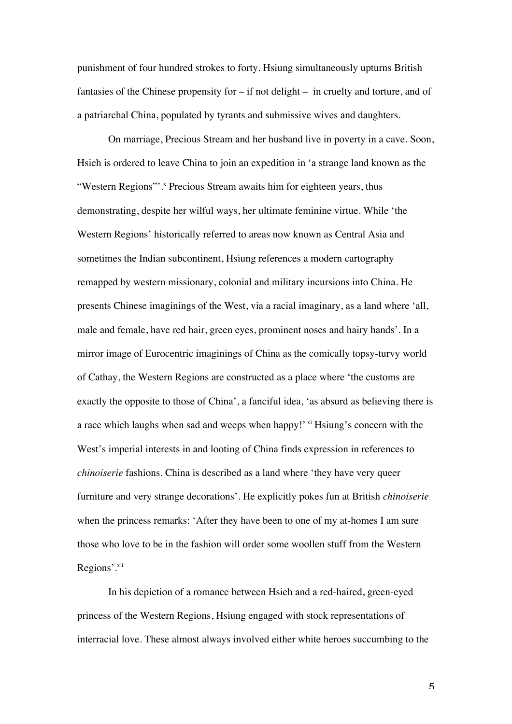punishment of four hundred strokes to forty. Hsiung simultaneously upturns British fantasies of the Chinese propensity for – if not delight – in cruelty and torture, and of a patriarchal China, populated by tyrants and submissive wives and daughters.

On marriage, Precious Stream and her husband live in poverty in a cave. Soon, Hsieh is ordered to leave China to join an expedition in 'a strange land known as the "Western Regions"'.<sup>x</sup> Precious Stream awaits him for eighteen years, thus demonstrating, despite her wilful ways, her ultimate feminine virtue. While 'the Western Regions' historically referred to areas now known as Central Asia and sometimes the Indian subcontinent, Hsiung references a modern cartography remapped by western missionary, colonial and military incursions into China. He presents Chinese imaginings of the West, via a racial imaginary, as a land where 'all, male and female, have red hair, green eyes, prominent noses and hairy hands'. In a mirror image of Eurocentric imaginings of China as the comically topsy-turvy world of Cathay, the Western Regions are constructed as a place where 'the customs are exactly the opposite to those of China', a fanciful idea, 'as absurd as believing there is a race which laughs when sad and weeps when happy!'  $\frac{x}{y}$  Hsiung's concern with the West's imperial interests in and looting of China finds expression in references to *chinoiserie* fashions. China is described as a land where 'they have very queer furniture and very strange decorations'. He explicitly pokes fun at British *chinoiserie* when the princess remarks: 'After they have been to one of my at-homes I am sure those who love to be in the fashion will order some woollen stuff from the Western Regions'.<sup>xii</sup>

In his depiction of a romance between Hsieh and a red-haired, green-eyed princess of the Western Regions, Hsiung engaged with stock representations of interracial love. These almost always involved either white heroes succumbing to the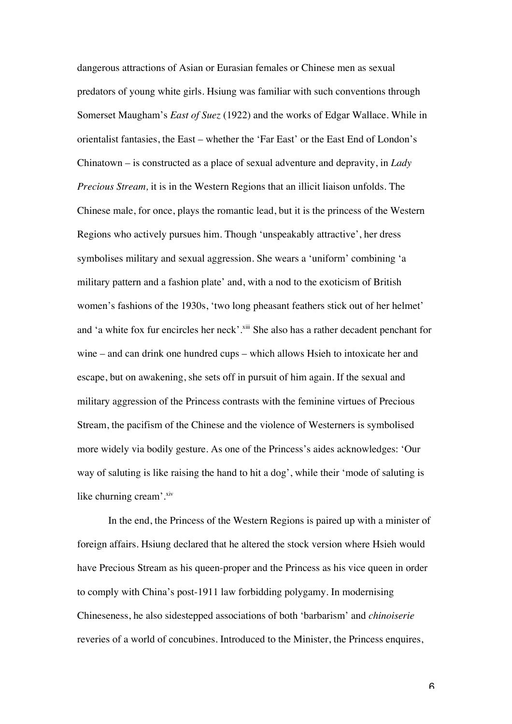dangerous attractions of Asian or Eurasian females or Chinese men as sexual predators of young white girls. Hsiung was familiar with such conventions through Somerset Maugham's *East of Suez* (1922) and the works of Edgar Wallace. While in orientalist fantasies, the East – whether the 'Far East' or the East End of London's Chinatown – is constructed as a place of sexual adventure and depravity, in *Lady Precious Stream,* it is in the Western Regions that an illicit liaison unfolds. The Chinese male, for once, plays the romantic lead, but it is the princess of the Western Regions who actively pursues him. Though 'unspeakably attractive', her dress symbolises military and sexual aggression. She wears a 'uniform' combining 'a military pattern and a fashion plate' and, with a nod to the exoticism of British women's fashions of the 1930s, 'two long pheasant feathers stick out of her helmet' and 'a white fox fur encircles her neck'.<sup>xiii</sup> She also has a rather decadent penchant for wine – and can drink one hundred cups – which allows Hsieh to intoxicate her and escape, but on awakening, she sets off in pursuit of him again. If the sexual and military aggression of the Princess contrasts with the feminine virtues of Precious Stream, the pacifism of the Chinese and the violence of Westerners is symbolised more widely via bodily gesture. As one of the Princess's aides acknowledges: 'Our way of saluting is like raising the hand to hit a dog', while their 'mode of saluting is like churning cream'. $x$ iv

In the end, the Princess of the Western Regions is paired up with a minister of foreign affairs. Hsiung declared that he altered the stock version where Hsieh would have Precious Stream as his queen-proper and the Princess as his vice queen in order to comply with China's post-1911 law forbidding polygamy. In modernising Chineseness, he also sidestepped associations of both 'barbarism' and *chinoiserie*  reveries of a world of concubines. Introduced to the Minister, the Princess enquires,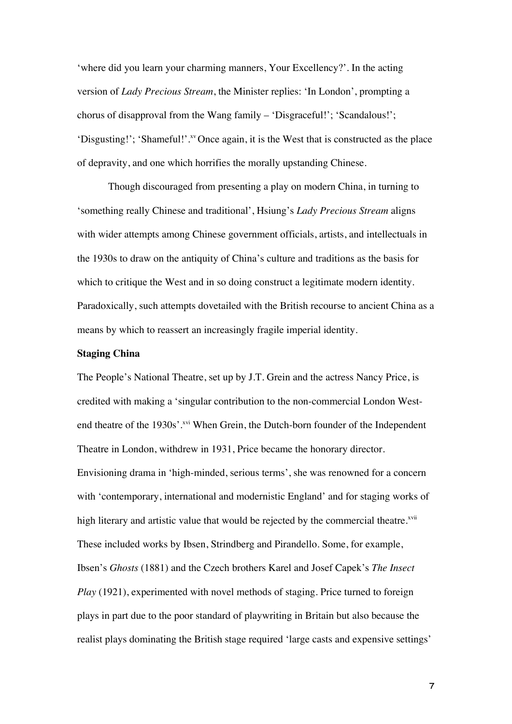'where did you learn your charming manners, Your Excellency?'. In the acting version of *Lady Precious Stream*, the Minister replies: 'In London', prompting a chorus of disapproval from the Wang family – 'Disgraceful!'; 'Scandalous!'; 'Disgusting!'; 'Shameful!'.<sup>xv</sup>Once again, it is the West that is constructed as the place of depravity, and one which horrifies the morally upstanding Chinese.

Though discouraged from presenting a play on modern China, in turning to 'something really Chinese and traditional', Hsiung's *Lady Precious Stream* aligns with wider attempts among Chinese government officials, artists, and intellectuals in the 1930s to draw on the antiquity of China's culture and traditions as the basis for which to critique the West and in so doing construct a legitimate modern identity. Paradoxically, such attempts dovetailed with the British recourse to ancient China as a means by which to reassert an increasingly fragile imperial identity.

#### **Staging China**

The People's National Theatre, set up by J.T. Grein and the actress Nancy Price, is credited with making a 'singular contribution to the non-commercial London Westend theatre of the 1930s'.<sup>xvi</sup> When Grein, the Dutch-born founder of the Independent Theatre in London, withdrew in 1931, Price became the honorary director. Envisioning drama in 'high-minded, serious terms', she was renowned for a concern with 'contemporary, international and modernistic England' and for staging works of high literary and artistic value that would be rejected by the commercial theatre.<sup>xvii</sup> These included works by Ibsen, Strindberg and Pirandello. Some, for example, Ibsen's *Ghosts* (1881) and the Czech brothers Karel and Josef Capek's *The Insect Play* (1921), experimented with novel methods of staging. Price turned to foreign plays in part due to the poor standard of playwriting in Britain but also because the realist plays dominating the British stage required 'large casts and expensive settings'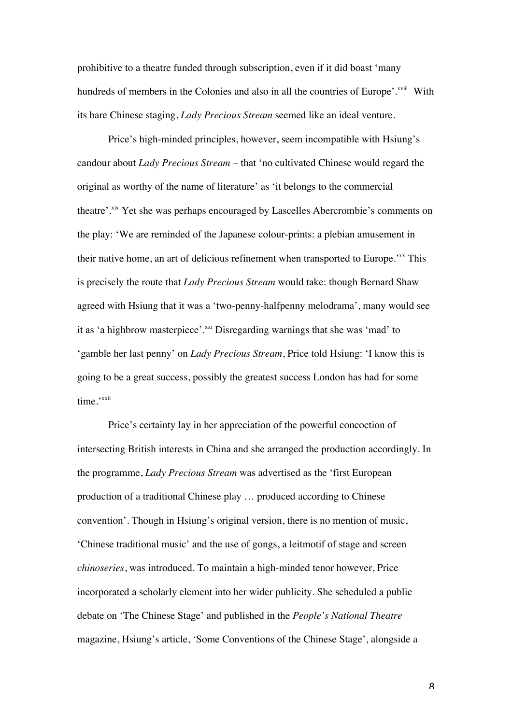prohibitive to a theatre funded through subscription, even if it did boast 'many hundreds of members in the Colonies and also in all the countries of Europe'.<sup>xviii</sup> With its bare Chinese staging, *Lady Precious Stream* seemed like an ideal venture.

Price's high-minded principles, however, seem incompatible with Hsiung's candour about *Lady Precious Stream* – that 'no cultivated Chinese would regard the original as worthy of the name of literature' as 'it belongs to the commercial theatre'.<sup>xix</sup> Yet she was perhaps encouraged by Lascelles Abercrombie's comments on the play: 'We are reminded of the Japanese colour-prints: a plebian amusement in their native home, an art of delicious refinement when transported to Europe.<sup>7xx</sup> This is precisely the route that *Lady Precious Stream* would take: though Bernard Shaw agreed with Hsiung that it was a 'two-penny-halfpenny melodrama', many would see it as 'a highbrow masterpiece'.<sup>xxi</sup> Disregarding warnings that she was 'mad' to 'gamble her last penny' on *Lady Precious Stream*, Price told Hsiung: 'I know this is going to be a great success, possibly the greatest success London has had for some time.'<sup>xxii</sup>

Price's certainty lay in her appreciation of the powerful concoction of intersecting British interests in China and she arranged the production accordingly. In the programme, *Lady Precious Stream* was advertised as the 'first European production of a traditional Chinese play … produced according to Chinese convention'. Though in Hsiung's original version, there is no mention of music, 'Chinese traditional music' and the use of gongs, a leitmotif of stage and screen *chinoseries*, was introduced. To maintain a high-minded tenor however, Price incorporated a scholarly element into her wider publicity. She scheduled a public debate on 'The Chinese Stage' and published in the *People's National Theatre* magazine, Hsiung's article, 'Some Conventions of the Chinese Stage', alongside a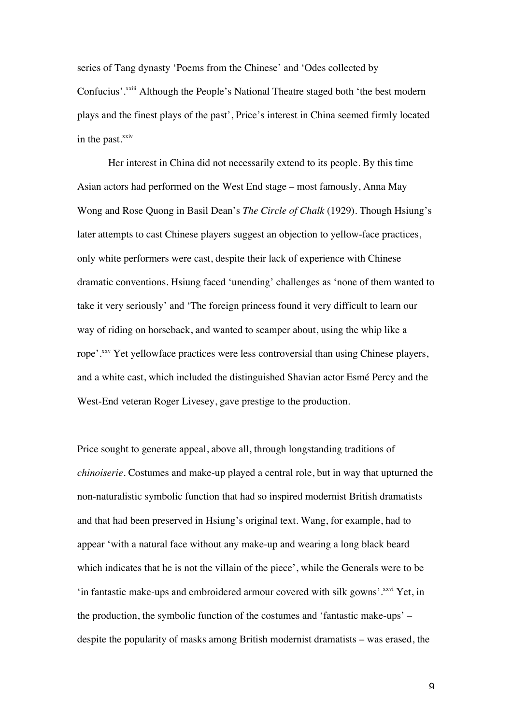series of Tang dynasty 'Poems from the Chinese' and 'Odes collected by Confucius'.<sup>xxiii</sup> Although the People's National Theatre staged both 'the best modern plays and the finest plays of the past', Price's interest in China seemed firmly located in the past. $^{xxiv}$ 

Her interest in China did not necessarily extend to its people. By this time Asian actors had performed on the West End stage – most famously, Anna May Wong and Rose Quong in Basil Dean's *The Circle of Chalk* (1929). Though Hsiung's later attempts to cast Chinese players suggest an objection to yellow-face practices, only white performers were cast, despite their lack of experience with Chinese dramatic conventions. Hsiung faced 'unending' challenges as 'none of them wanted to take it very seriously' and 'The foreign princess found it very difficult to learn our way of riding on horseback, and wanted to scamper about, using the whip like a rope'.xxv Yet yellowface practices were less controversial than using Chinese players, and a white cast, which included the distinguished Shavian actor Esmé Percy and the West-End veteran Roger Livesey, gave prestige to the production.

Price sought to generate appeal, above all, through longstanding traditions of *chinoiserie*. Costumes and make-up played a central role, but in way that upturned the non-naturalistic symbolic function that had so inspired modernist British dramatists and that had been preserved in Hsiung's original text. Wang, for example, had to appear 'with a natural face without any make-up and wearing a long black beard which indicates that he is not the villain of the piece', while the Generals were to be 'in fantastic make-ups and embroidered armour covered with silk gowns'.<sup>xxvi</sup> Yet, in the production, the symbolic function of the costumes and 'fantastic make-ups' – despite the popularity of masks among British modernist dramatists – was erased, the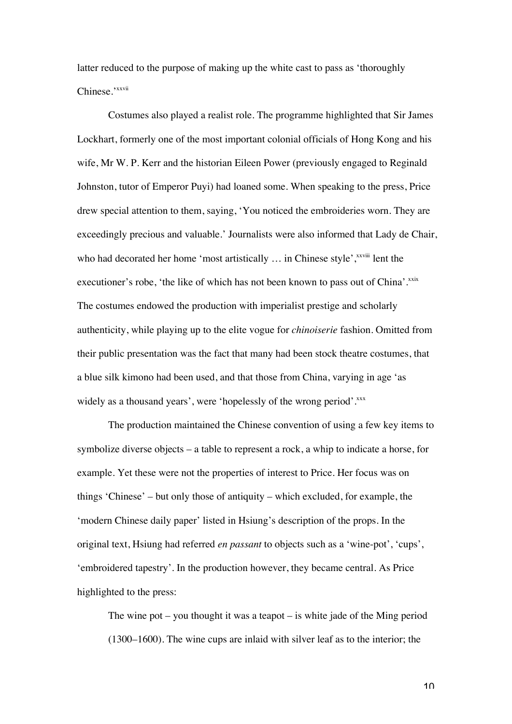latter reduced to the purpose of making up the white cast to pass as 'thoroughly Chinese.'<sup>xxvii</sup>

Costumes also played a realist role. The programme highlighted that Sir James Lockhart, formerly one of the most important colonial officials of Hong Kong and his wife, Mr W. P. Kerr and the historian Eileen Power (previously engaged to Reginald Johnston, tutor of Emperor Puyi) had loaned some. When speaking to the press, Price drew special attention to them, saying, 'You noticed the embroideries worn. They are exceedingly precious and valuable.' Journalists were also informed that Lady de Chair, who had decorated her home 'most artistically  $\ldots$  in Chinese style',  $\frac{x}{x}$  lent the executioner's robe, 'the like of which has not been known to pass out of China'.xxix The costumes endowed the production with imperialist prestige and scholarly authenticity, while playing up to the elite vogue for *chinoiserie* fashion. Omitted from their public presentation was the fact that many had been stock theatre costumes, that a blue silk kimono had been used, and that those from China, varying in age 'as widely as a thousand years', were 'hopelessly of the wrong period'.xxx

The production maintained the Chinese convention of using a few key items to symbolize diverse objects – a table to represent a rock, a whip to indicate a horse, for example. Yet these were not the properties of interest to Price. Her focus was on things 'Chinese' – but only those of antiquity – which excluded, for example, the 'modern Chinese daily paper' listed in Hsiung's description of the props. In the original text, Hsiung had referred *en passant* to objects such as a 'wine-pot', 'cups', 'embroidered tapestry'. In the production however, they became central. As Price highlighted to the press:

The wine pot – you thought it was a teapot – is white jade of the Ming period (1300–1600). The wine cups are inlaid with silver leaf as to the interior; the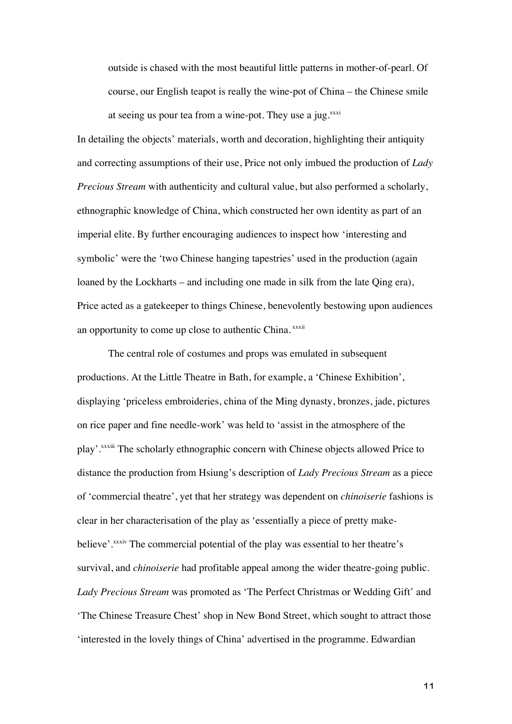outside is chased with the most beautiful little patterns in mother-of-pearl. Of course, our English teapot is really the wine-pot of China – the Chinese smile at seeing us pour tea from a wine-pot. They use a jug. $x^{xxi}$ 

In detailing the objects' materials, worth and decoration, highlighting their antiquity and correcting assumptions of their use, Price not only imbued the production of *Lady Precious Stream* with authenticity and cultural value, but also performed a scholarly, ethnographic knowledge of China, which constructed her own identity as part of an imperial elite. By further encouraging audiences to inspect how 'interesting and symbolic' were the 'two Chinese hanging tapestries' used in the production (again loaned by the Lockharts – and including one made in silk from the late Qing era), Price acted as a gatekeeper to things Chinese, benevolently bestowing upon audiences an opportunity to come up close to authentic China. xxxii

The central role of costumes and props was emulated in subsequent productions. At the Little Theatre in Bath, for example, a 'Chinese Exhibition', displaying 'priceless embroideries, china of the Ming dynasty, bronzes, jade, pictures on rice paper and fine needle-work' was held to 'assist in the atmosphere of the play'. XXXIII The scholarly ethnographic concern with Chinese objects allowed Price to distance the production from Hsiung's description of *Lady Precious Stream* as a piece of 'commercial theatre', yet that her strategy was dependent on *chinoiserie* fashions is clear in her characterisation of the play as 'essentially a piece of pretty makebelieve'.<sup>xxxiv</sup> The commercial potential of the play was essential to her theatre's survival, and *chinoiserie* had profitable appeal among the wider theatre-going public. *Lady Precious Stream* was promoted as 'The Perfect Christmas or Wedding Gift' and 'The Chinese Treasure Chest' shop in New Bond Street, which sought to attract those 'interested in the lovely things of China' advertised in the programme. Edwardian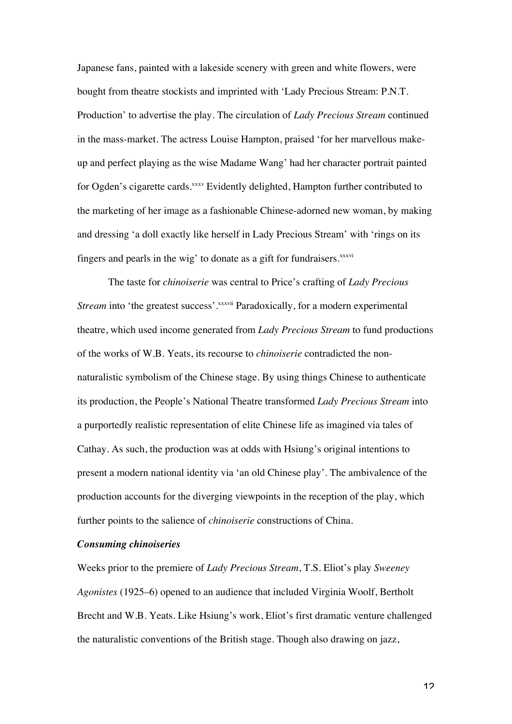Japanese fans, painted with a lakeside scenery with green and white flowers, were bought from theatre stockists and imprinted with 'Lady Precious Stream: P.N.T. Production' to advertise the play. The circulation of *Lady Precious Stream* continued in the mass-market. The actress Louise Hampton, praised 'for her marvellous makeup and perfect playing as the wise Madame Wang' had her character portrait painted for Ogden's cigarette cards.<sup>xxxv</sup> Evidently delighted, Hampton further contributed to the marketing of her image as a fashionable Chinese-adorned new woman, by making and dressing 'a doll exactly like herself in Lady Precious Stream' with 'rings on its fingers and pearls in the wig' to donate as a gift for fundraisers.<sup>xxxvi</sup>

The taste for *chinoiserie* was central to Price's crafting of *Lady Precious Stream* into 'the greatest success'.<sup>xxxvii</sup> Paradoxically, for a modern experimental theatre, which used income generated from *Lady Precious Stream* to fund productions of the works of W.B. Yeats, its recourse to *chinoiserie* contradicted the nonnaturalistic symbolism of the Chinese stage. By using things Chinese to authenticate its production, the People's National Theatre transformed *Lady Precious Stream* into a purportedly realistic representation of elite Chinese life as imagined via tales of Cathay. As such, the production was at odds with Hsiung's original intentions to present a modern national identity via 'an old Chinese play'. The ambivalence of the production accounts for the diverging viewpoints in the reception of the play, which further points to the salience of *chinoiserie* constructions of China.

#### *Consuming chinoiseries*

Weeks prior to the premiere of *Lady Precious Stream*, T.S. Eliot's play *Sweeney Agonistes* (1925–6) opened to an audience that included Virginia Woolf, Bertholt Brecht and W.B. Yeats. Like Hsiung's work, Eliot's first dramatic venture challenged the naturalistic conventions of the British stage. Though also drawing on jazz,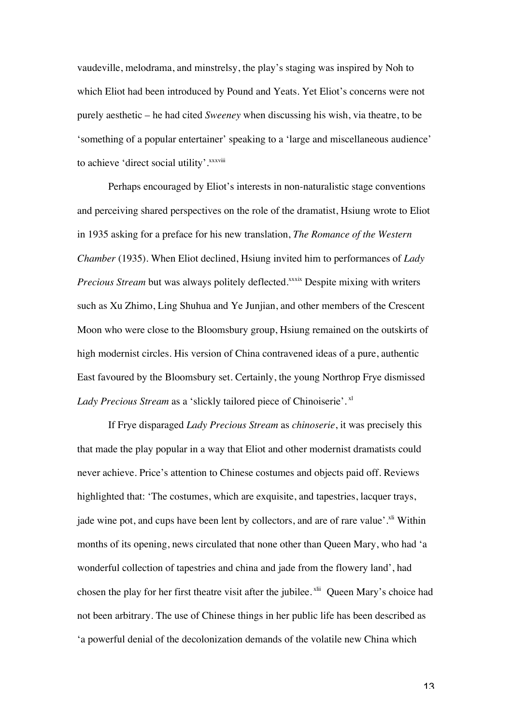vaudeville, melodrama, and minstrelsy, the play's staging was inspired by Noh to which Eliot had been introduced by Pound and Yeats. Yet Eliot's concerns were not purely aesthetic – he had cited *Sweeney* when discussing his wish, via theatre, to be 'something of a popular entertainer' speaking to a 'large and miscellaneous audience' to achieve 'direct social utility'. xxxviii

Perhaps encouraged by Eliot's interests in non-naturalistic stage conventions and perceiving shared perspectives on the role of the dramatist, Hsiung wrote to Eliot in 1935 asking for a preface for his new translation, *The Romance of the Western Chamber* (1935). When Eliot declined, Hsiung invited him to performances of *Lady Precious Stream* but was always politely deflected.<sup>xxxix</sup> Despite mixing with writers such as Xu Zhimo, Ling Shuhua and Ye Junjian, and other members of the Crescent Moon who were close to the Bloomsbury group, Hsiung remained on the outskirts of high modernist circles. His version of China contravened ideas of a pure, authentic East favoured by the Bloomsbury set. Certainly, the young Northrop Frye dismissed Lady Precious Stream as a 'slickly tailored piece of Chinoiserie'. xl

If Frye disparaged *Lady Precious Stream* as *chinoserie*, it was precisely this that made the play popular in a way that Eliot and other modernist dramatists could never achieve. Price's attention to Chinese costumes and objects paid off. Reviews highlighted that: 'The costumes, which are exquisite, and tapestries, lacquer trays, jade wine pot, and cups have been lent by collectors, and are of rare value'.<sup>xli</sup> Within months of its opening, news circulated that none other than Queen Mary, who had 'a wonderful collection of tapestries and china and jade from the flowery land', had chosen the play for her first theatre visit after the jubilee.<sup>xlii</sup> Queen Mary's choice had not been arbitrary. The use of Chinese things in her public life has been described as 'a powerful denial of the decolonization demands of the volatile new China which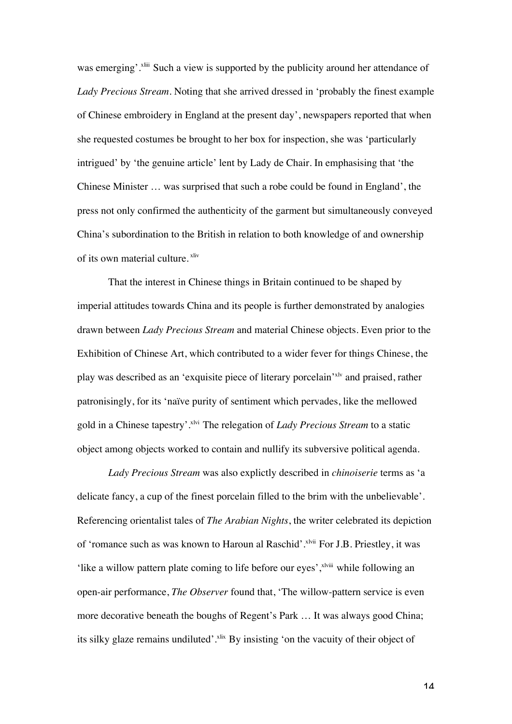was emerging'.<sup>xliii</sup> Such a view is supported by the publicity around her attendance of *Lady Precious Stream*. Noting that she arrived dressed in 'probably the finest example of Chinese embroidery in England at the present day', newspapers reported that when she requested costumes be brought to her box for inspection, she was 'particularly intrigued' by 'the genuine article' lent by Lady de Chair. In emphasising that 'the Chinese Minister … was surprised that such a robe could be found in England', the press not only confirmed the authenticity of the garment but simultaneously conveyed China's subordination to the British in relation to both knowledge of and ownership of its own material culture. <sup>xliv</sup>

That the interest in Chinese things in Britain continued to be shaped by imperial attitudes towards China and its people is further demonstrated by analogies drawn between *Lady Precious Stream* and material Chinese objects. Even prior to the Exhibition of Chinese Art, which contributed to a wider fever for things Chinese, the play was described as an 'exquisite piece of literary porcelain'xlv and praised, rather patronisingly, for its 'naïve purity of sentiment which pervades, like the mellowed gold in a Chinese tapestry'.xlvi The relegation of *Lady Precious Stream* to a static object among objects worked to contain and nullify its subversive political agenda.

*Lady Precious Stream* was also explictly described in *chinoiserie* terms as 'a delicate fancy, a cup of the finest porcelain filled to the brim with the unbelievable'. Referencing orientalist tales of *The Arabian Nights*, the writer celebrated its depiction of 'romance such as was known to Haroun al Raschid'.<sup>xlvii</sup> For J.B. Priestley, it was 'like a willow pattern plate coming to life before our eyes', x<sup>lviii</sup> while following an open-air performance, *The Observer* found that, 'The willow-pattern service is even more decorative beneath the boughs of Regent's Park … It was always good China; its silky glaze remains undiluted'.<sup>xlix</sup> By insisting 'on the vacuity of their object of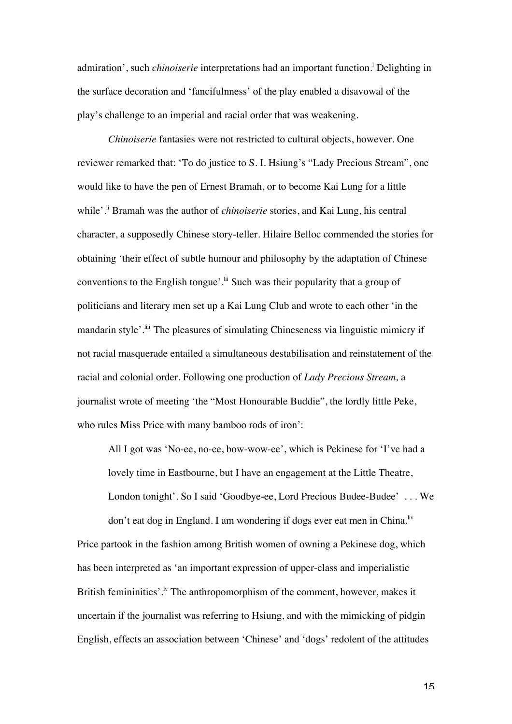admiration', such *chinoiserie* interpretations had an important function.<sup>1</sup> Delighting in the surface decoration and 'fancifulnness' of the play enabled a disavowal of the play's challenge to an imperial and racial order that was weakening.

*Chinoiserie* fantasies were not restricted to cultural objects, however. One reviewer remarked that: 'To do justice to S. I. Hsiung's "Lady Precious Stream", one would like to have the pen of Ernest Bramah, or to become Kai Lung for a little while'.<sup>ii</sup> Bramah was the author of *chinoiserie* stories, and Kai Lung, his central character, a supposedly Chinese story-teller. Hilaire Belloc commended the stories for obtaining 'their effect of subtle humour and philosophy by the adaptation of Chinese conventions to the English tongue'.<sup>ii</sup> Such was their popularity that a group of politicians and literary men set up a Kai Lung Club and wrote to each other 'in the mandarin style'.<sup>lii</sup> The pleasures of simulating Chineseness via linguistic mimicry if not racial masquerade entailed a simultaneous destabilisation and reinstatement of the racial and colonial order. Following one production of *Lady Precious Stream,* a journalist wrote of meeting 'the "Most Honourable Buddie", the lordly little Peke, who rules Miss Price with many bamboo rods of iron':

All I got was 'No-ee, no-ee, bow-wow-ee', which is Pekinese for 'I've had a lovely time in Eastbourne, but I have an engagement at the Little Theatre, London tonight'. So I said 'Goodbye-ee, Lord Precious Budee-Budee' . . . We don't eat dog in England. I am wondering if dogs ever eat men in China.<sup>liv</sup>

Price partook in the fashion among British women of owning a Pekinese dog, which has been interpreted as 'an important expression of upper-class and imperialistic British femininities'.<sup> $\nu$ </sup> The anthropomorphism of the comment, however, makes it uncertain if the journalist was referring to Hsiung, and with the mimicking of pidgin English, effects an association between 'Chinese' and 'dogs' redolent of the attitudes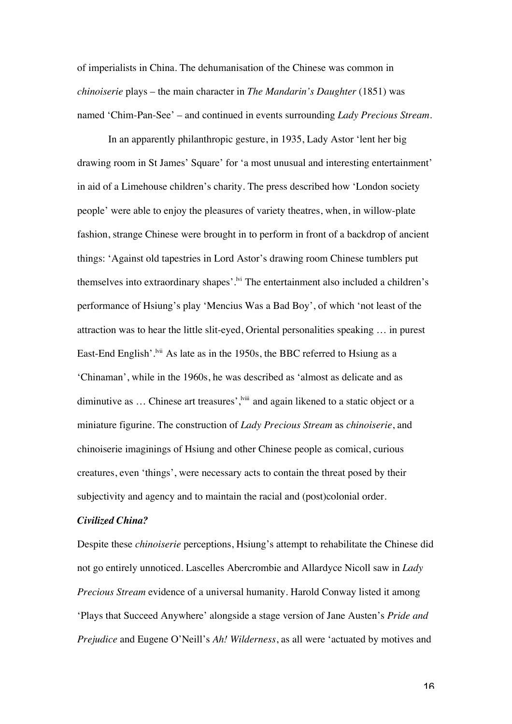of imperialists in China. The dehumanisation of the Chinese was common in *chinoiserie* plays – the main character in *The Mandarin's Daughter* (1851) was named 'Chim-Pan-See' – and continued in events surrounding *Lady Precious Stream.*

In an apparently philanthropic gesture, in 1935, Lady Astor 'lent her big drawing room in St James' Square' for 'a most unusual and interesting entertainment' in aid of a Limehouse children's charity. The press described how 'London society people' were able to enjoy the pleasures of variety theatres, when, in willow-plate fashion, strange Chinese were brought in to perform in front of a backdrop of ancient things: 'Against old tapestries in Lord Astor's drawing room Chinese tumblers put themselves into extraordinary shapes'.<sup>|vi</sup> The entertainment also included a children's performance of Hsiung's play 'Mencius Was a Bad Boy', of which 'not least of the attraction was to hear the little slit-eyed, Oriental personalities speaking … in purest East-End English'.<sup>Ivii</sup> As late as in the 1950s, the BBC referred to Hsiung as a 'Chinaman', while in the 1960s, he was described as 'almost as delicate and as diminutive as ... Chinese art treasures',<sup>lviii</sup> and again likened to a static object or a miniature figurine. The construction of *Lady Precious Stream* as *chinoiserie*, and chinoiserie imaginings of Hsiung and other Chinese people as comical, curious creatures, even 'things', were necessary acts to contain the threat posed by their subjectivity and agency and to maintain the racial and (post)colonial order.

#### *Civilized China?*

Despite these *chinoiserie* perceptions, Hsiung's attempt to rehabilitate the Chinese did not go entirely unnoticed. Lascelles Abercrombie and Allardyce Nicoll saw in *Lady Precious Stream* evidence of a universal humanity. Harold Conway listed it among 'Plays that Succeed Anywhere' alongside a stage version of Jane Austen's *Pride and Prejudice* and Eugene O'Neill's *Ah! Wilderness*, as all were 'actuated by motives and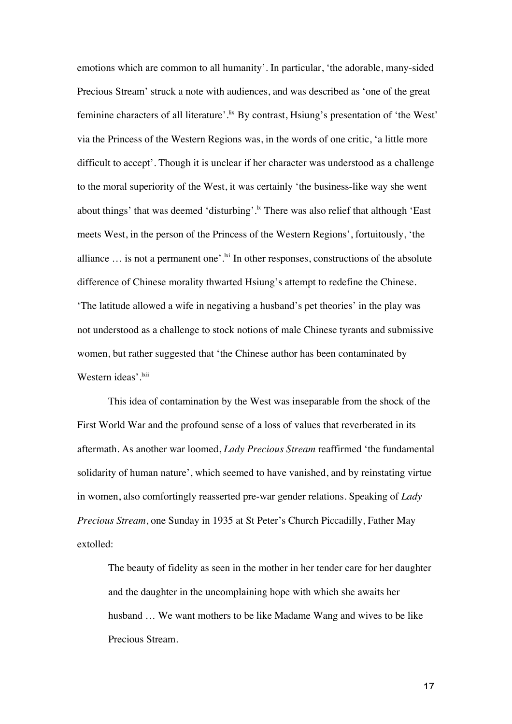emotions which are common to all humanity'. In particular, 'the adorable, many-sided Precious Stream' struck a note with audiences, and was described as 'one of the great feminine characters of all literature'.<sup>Ix</sup> By contrast, Hsiung's presentation of 'the West' via the Princess of the Western Regions was, in the words of one critic, 'a little more difficult to accept'. Though it is unclear if her character was understood as a challenge to the moral superiority of the West, it was certainly 'the business-like way she went about things' that was deemed 'disturbing'.<sup>k</sup> There was also relief that although 'East meets West, in the person of the Princess of the Western Regions', fortuitously, 'the alliance  $\ldots$  is not a permanent one'.<sup>ki</sup> In other responses, constructions of the absolute difference of Chinese morality thwarted Hsiung's attempt to redefine the Chinese. 'The latitude allowed a wife in negativing a husband's pet theories' in the play was not understood as a challenge to stock notions of male Chinese tyrants and submissive women, but rather suggested that 'the Chinese author has been contaminated by Western ideas'.<sup>kii</sup>

This idea of contamination by the West was inseparable from the shock of the First World War and the profound sense of a loss of values that reverberated in its aftermath. As another war loomed, *Lady Precious Stream* reaffirmed 'the fundamental solidarity of human nature', which seemed to have vanished, and by reinstating virtue in women, also comfortingly reasserted pre-war gender relations. Speaking of *Lady Precious Stream*, one Sunday in 1935 at St Peter's Church Piccadilly, Father May extolled:

The beauty of fidelity as seen in the mother in her tender care for her daughter and the daughter in the uncomplaining hope with which she awaits her husband … We want mothers to be like Madame Wang and wives to be like Precious Stream.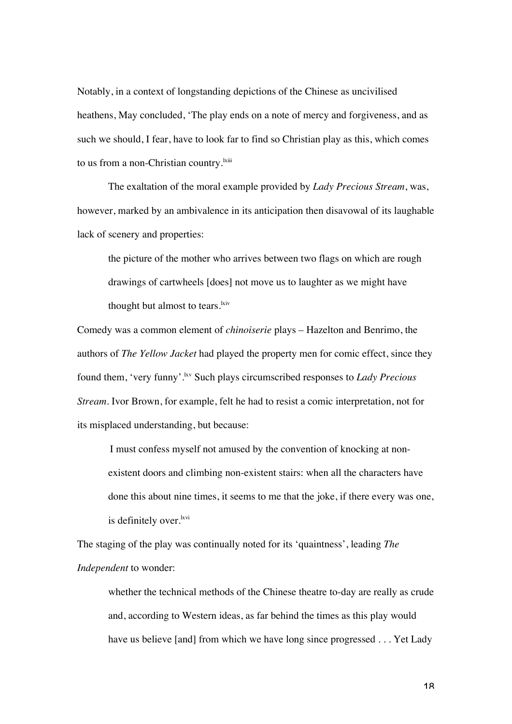Notably, in a context of longstanding depictions of the Chinese as uncivilised heathens, May concluded, 'The play ends on a note of mercy and forgiveness, and as such we should, I fear, have to look far to find so Christian play as this, which comes to us from a non-Christian country.<sup>kiii</sup>

The exaltation of the moral example provided by *Lady Precious Stream*, was, however, marked by an ambivalence in its anticipation then disavowal of its laughable lack of scenery and properties:

the picture of the mother who arrives between two flags on which are rough drawings of cartwheels [does] not move us to laughter as we might have thought but almost to tears.<sup>kiv</sup>

Comedy was a common element of *chinoiserie* plays – Hazelton and Benrimo, the authors of *The Yellow Jacket* had played the property men for comic effect, since they found them, 'very funny'.lxv Such plays circumscribed responses to *Lady Precious Stream*. Ivor Brown, for example, felt he had to resist a comic interpretation, not for its misplaced understanding, but because:

I must confess myself not amused by the convention of knocking at nonexistent doors and climbing non-existent stairs: when all the characters have done this about nine times, it seems to me that the joke, if there every was one, is definitely over.<sup>lxvi</sup>

The staging of the play was continually noted for its 'quaintness', leading *The Independent* to wonder:

whether the technical methods of the Chinese theatre to-day are really as crude and, according to Western ideas, as far behind the times as this play would have us believe [and] from which we have long since progressed . . . Yet Lady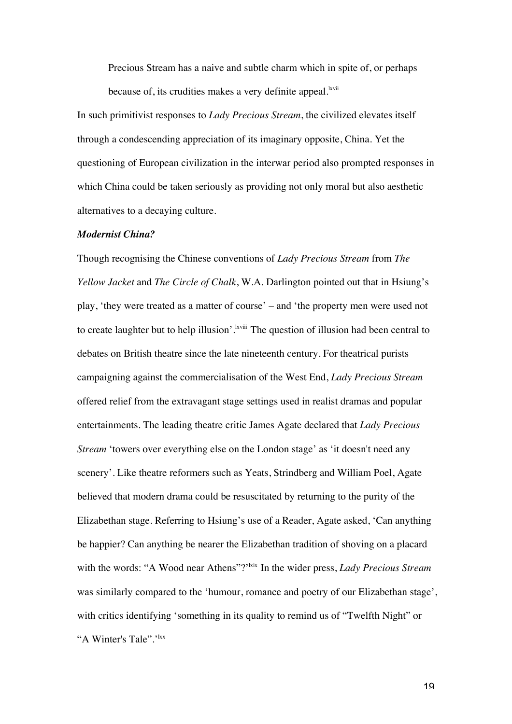Precious Stream has a naive and subtle charm which in spite of, or perhaps because of, its crudities makes a very definite appeal.<sup>kvii</sup>

In such primitivist responses to *Lady Precious Stream*, the civilized elevates itself through a condescending appreciation of its imaginary opposite, China. Yet the questioning of European civilization in the interwar period also prompted responses in which China could be taken seriously as providing not only moral but also aesthetic alternatives to a decaying culture.

#### *Modernist China?*

Though recognising the Chinese conventions of *Lady Precious Stream* from *The Yellow Jacket* and *The Circle of Chalk*, W.A. Darlington pointed out that in Hsiung's play, 'they were treated as a matter of course' – and 'the property men were used not to create laughter but to help illusion'.<sup>kviii</sup> The question of illusion had been central to debates on British theatre since the late nineteenth century. For theatrical purists campaigning against the commercialisation of the West End, *Lady Precious Stream*  offered relief from the extravagant stage settings used in realist dramas and popular entertainments. The leading theatre critic James Agate declared that *Lady Precious Stream* 'towers over everything else on the London stage' as 'it doesn't need any scenery'. Like theatre reformers such as Yeats, Strindberg and William Poel, Agate believed that modern drama could be resuscitated by returning to the purity of the Elizabethan stage. Referring to Hsiung's use of a Reader, Agate asked, 'Can anything be happier? Can anything be nearer the Elizabethan tradition of shoving on a placard with the words: "A Wood near Athens"?<sup>'kix</sup> In the wider press, *Lady Precious Stream* was similarly compared to the 'humour, romance and poetry of our Elizabethan stage', with critics identifying 'something in its quality to remind us of "Twelfth Night" or "A Winter's Tale".'<sup>lxx</sup>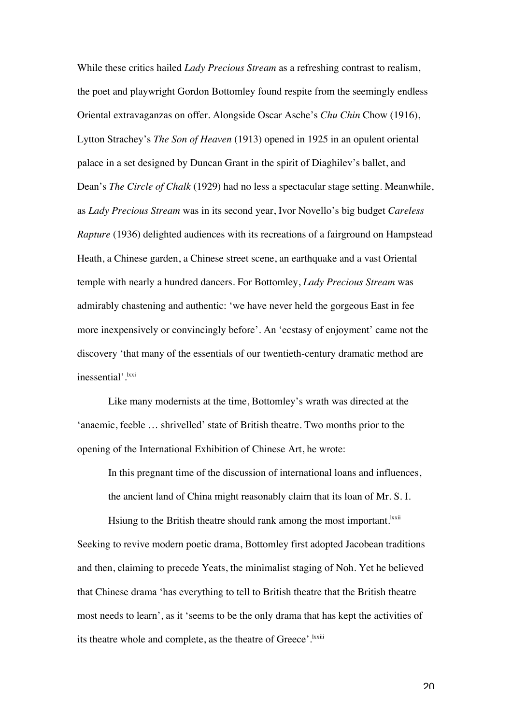While these critics hailed *Lady Precious Stream* as a refreshing contrast to realism, the poet and playwright Gordon Bottomley found respite from the seemingly endless Oriental extravaganzas on offer. Alongside Oscar Asche's *Chu Chin* Chow (1916), Lytton Strachey's *The Son of Heaven* (1913) opened in 1925 in an opulent oriental palace in a set designed by Duncan Grant in the spirit of Diaghilev's ballet, and Dean's *The Circle of Chalk* (1929) had no less a spectacular stage setting. Meanwhile, as *Lady Precious Stream* was in its second year, Ivor Novello's big budget *Careless Rapture* (1936) delighted audiences with its recreations of a fairground on Hampstead Heath, a Chinese garden, a Chinese street scene, an earthquake and a vast Oriental temple with nearly a hundred dancers. For Bottomley, *Lady Precious Stream* was admirably chastening and authentic: 'we have never held the gorgeous East in fee more inexpensively or convincingly before'. An 'ecstasy of enjoyment' came not the discovery 'that many of the essentials of our twentieth-century dramatic method are inessential'. Ixxi

Like many modernists at the time, Bottomley's wrath was directed at the 'anaemic, feeble … shrivelled' state of British theatre. Two months prior to the opening of the International Exhibition of Chinese Art, he wrote:

In this pregnant time of the discussion of international loans and influences, the ancient land of China might reasonably claim that its loan of Mr. S. I.

Hsiung to the British theatre should rank among the most important.<sup>kxii</sup> Seeking to revive modern poetic drama, Bottomley first adopted Jacobean traditions and then, claiming to precede Yeats, the minimalist staging of Noh. Yet he believed that Chinese drama 'has everything to tell to British theatre that the British theatre most needs to learn', as it 'seems to be the only drama that has kept the activities of its theatre whole and complete, as the theatre of Greece'.<sup>kxiii</sup>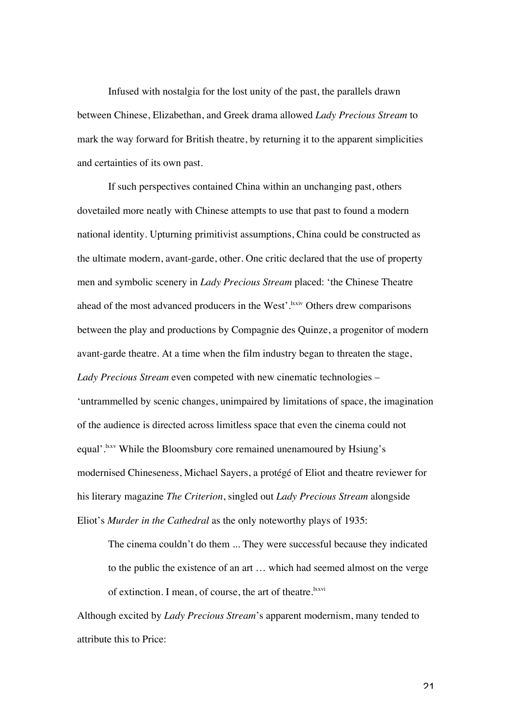Infused with nostalgia for the lost unity of the past, the parallels drawn between Chinese, Elizabethan, and Greek drama allowed *Lady Precious Stream* to mark the way forward for British theatre, by returning it to the apparent simplicities and certainties of its own past.

If such perspectives contained China within an unchanging past, others dovetailed more neatly with Chinese attempts to use that past to found a modern national identity. Upturning primitivist assumptions, China could be constructed as the ultimate modern, avant-garde, other. One critic declared that the use of property men and symbolic scenery in *Lady Precious Stream* placed: 'the Chinese Theatre ahead of the most advanced producers in the West'. <sup>Ixxiv</sup> Others drew comparisons between the play and productions by Compagnie des Quinze, a progenitor of modern avant-garde theatre. At a time when the film industry began to threaten the stage, *Lady Precious Stream* even competed with new cinematic technologies – 'untrammelled by scenic changes, unimpaired by limitations of space, the imagination of the audience is directed across limitless space that even the cinema could not equal'.<sup>kxv</sup> While the Bloomsbury core remained unenamoured by Hsiung's modernised Chineseness, Michael Sayers, a protégé of Eliot and theatre reviewer for his literary magazine *The Criterion*, singled out *Lady Precious Stream* alongside Eliot's *Murder in the Cathedral* as the only noteworthy plays of 1935:

The cinema couldn't do them ... They were successful because they indicated to the public the existence of an art … which had seemed almost on the verge of extinction. I mean, of course, the art of theatre.<sup>kxvi</sup>

Although excited by *Lady Precious Stream*'s apparent modernism, many tended to attribute this to Price: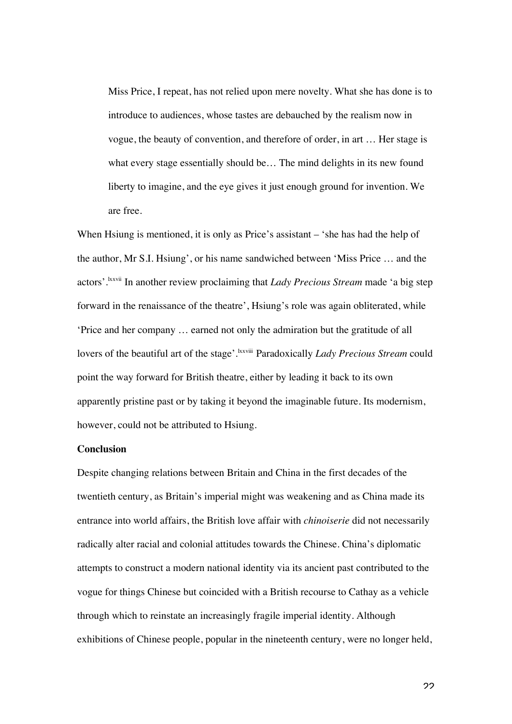Miss Price, I repeat, has not relied upon mere novelty. What she has done is to introduce to audiences, whose tastes are debauched by the realism now in vogue, the beauty of convention, and therefore of order, in art … Her stage is what every stage essentially should be… The mind delights in its new found liberty to imagine, and the eye gives it just enough ground for invention. We are free.

When Hsiung is mentioned, it is only as Price's assistant – 'she has had the help of the author, Mr S.I. Hsiung', or his name sandwiched between 'Miss Price … and the actors'.<sup>lxxvii</sup> In another review proclaiming that *Lady Precious Stream* made 'a big step forward in the renaissance of the theatre', Hsiung's role was again obliterated, while 'Price and her company … earned not only the admiration but the gratitude of all lovers of the beautiful art of the stage'.<sup>kxviii</sup> Paradoxically *Lady Precious Stream* could point the way forward for British theatre, either by leading it back to its own apparently pristine past or by taking it beyond the imaginable future. Its modernism, however, could not be attributed to Hsiung.

#### **Conclusion**

Despite changing relations between Britain and China in the first decades of the twentieth century, as Britain's imperial might was weakening and as China made its entrance into world affairs, the British love affair with *chinoiserie* did not necessarily radically alter racial and colonial attitudes towards the Chinese. China's diplomatic attempts to construct a modern national identity via its ancient past contributed to the vogue for things Chinese but coincided with a British recourse to Cathay as a vehicle through which to reinstate an increasingly fragile imperial identity. Although exhibitions of Chinese people, popular in the nineteenth century, were no longer held,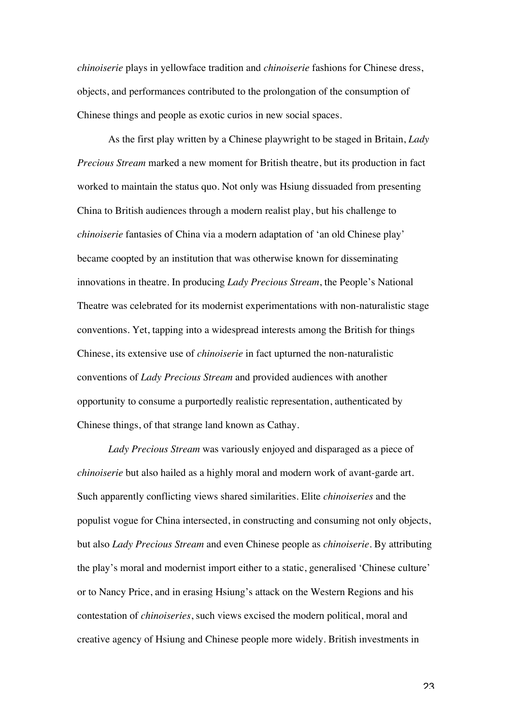*chinoiserie* plays in yellowface tradition and *chinoiserie* fashions for Chinese dress, objects, and performances contributed to the prolongation of the consumption of Chinese things and people as exotic curios in new social spaces.

As the first play written by a Chinese playwright to be staged in Britain, *Lady Precious Stream* marked a new moment for British theatre, but its production in fact worked to maintain the status quo. Not only was Hsiung dissuaded from presenting China to British audiences through a modern realist play, but his challenge to *chinoiserie* fantasies of China via a modern adaptation of 'an old Chinese play' became coopted by an institution that was otherwise known for disseminating innovations in theatre. In producing *Lady Precious Stream*, the People's National Theatre was celebrated for its modernist experimentations with non-naturalistic stage conventions. Yet, tapping into a widespread interests among the British for things Chinese, its extensive use of *chinoiserie* in fact upturned the non-naturalistic conventions of *Lady Precious Stream* and provided audiences with another opportunity to consume a purportedly realistic representation, authenticated by Chinese things, of that strange land known as Cathay.

*Lady Precious Stream* was variously enjoyed and disparaged as a piece of *chinoiserie* but also hailed as a highly moral and modern work of avant-garde art. Such apparently conflicting views shared similarities. Elite *chinoiseries* and the populist vogue for China intersected, in constructing and consuming not only objects, but also *Lady Precious Stream* and even Chinese people as *chinoiserie*. By attributing the play's moral and modernist import either to a static, generalised 'Chinese culture' or to Nancy Price, and in erasing Hsiung's attack on the Western Regions and his contestation of *chinoiseries*, such views excised the modern political, moral and creative agency of Hsiung and Chinese people more widely. British investments in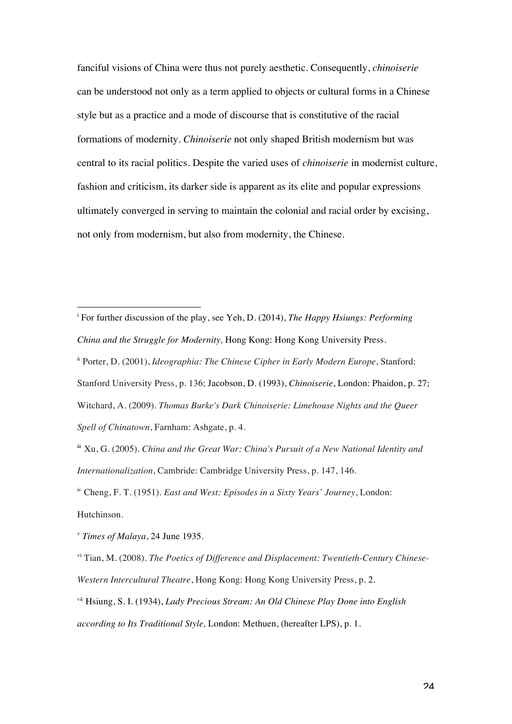fanciful visions of China were thus not purely aesthetic. Consequently, *chinoiserie*  can be understood not only as a term applied to objects or cultural forms in a Chinese style but as a practice and a mode of discourse that is constitutive of the racial formations of modernity. *Chinoiserie* not only shaped British modernism but was central to its racial politics. Despite the varied uses of *chinoiserie* in modernist culture, fashion and criticism, its darker side is apparent as its elite and popular expressions ultimately converged in serving to maintain the colonial and racial order by excising, not only from modernism, but also from modernity, the Chinese.

iv Cheng, F. T. (1951). *East and West: Episodes in a Sixty Years' Journey*, London: Hutchinson.

<sup>v</sup> *Times of Malaya*, 24 June 1935.

vi Tian, M. (2008). *The Poetics of Difference and Displacement: Twentieth-Century Chinese-Western Intercultural Theatre*, Hong Kong: Hong Kong University Press, p. 2.

 $\overline{a}$ i For further discussion of the play, see Yeh, D. (2014), *The Happy Hsiungs: Performing China and the Struggle for Modernity,* Hong Kong: Hong Kong University Press.

ii Porter, D. (2001), *Ideographia: The Chinese Cipher in Early Modern Europe*, Stanford: Stanford University Press, p. 136; Jacobson, D. (1993), *Chinoiserie*, London: Phaidon, p. 27; Witchard, A. (2009). *Thomas Burke's Dark Chinoiserie: Limehouse Nights and the Queer Spell of Chinatown*, Farnham: Ashgate, p. 4.

iii Xu, G. (2005). *China and the Great War: China's Pursuit of a New National Identity and Internationalization*, Cambride: Cambridge University Press, p. 147, 146.

vii Hsiung, S. I. (1934), *Lady Precious Stream: An Old Chinese Play Done into English according to Its Traditional Style,* London: Methuen, (hereafter LPS), p. 1.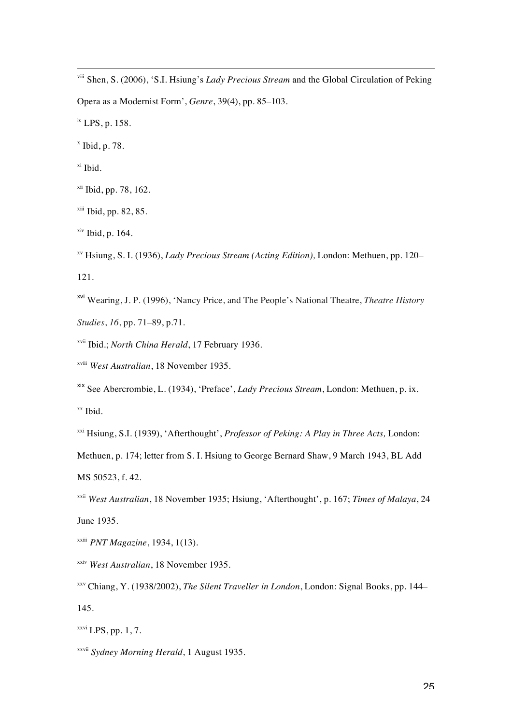l viii Shen, S. (2006), 'S.I. Hsiung's *Lady Precious Stream* and the Global Circulation of Peking Opera as a Modernist Form', *Genre*, 39(4), pp. 85–103.

ix LPS, p. 158.

 $x$  Ibid, p. 78.

xi Ibid.

- $xii$  Ibid, pp. 78, 162.
- $x^{iii}$  Ibid, pp. 82, 85.
- $xiv$  Ibid, p. 164.
- xv Hsiung, S. I. (1936), *Lady Precious Stream (Acting Edition),* London: Methuen, pp. 120– 121.
- xvi Wearing, J. P. (1996), 'Nancy Price, and The People's National Theatre, *Theatre History Studies*, *16*, pp. 71–89, p.71.
- xvii Ibid.; *North China Herald*, 17 February 1936.
- xviii *West Australian*, 18 November 1935.

xix See Abercrombie, L. (1934), 'Preface', *Lady Precious Stream*, London: Methuen, p. ix. xx Ibid.

xxi Hsiung, S.I. (1939), 'Afterthought', *Professor of Peking: A Play in Three Acts,* London:

Methuen, p. 174; letter from S. I. Hsiung to George Bernard Shaw, 9 March 1943, BL Add MS 50523, f. 42.

xxii *West Australian*, 18 November 1935; Hsiung, 'Afterthought', p. 167; *Times of Malaya*, 24 June 1935.

xxiii *PNT Magazine*, 1934, 1(13).

xxiv *West Australian*, 18 November 1935.

 $x$ <sup>xxvi</sup> LPS, pp. 1, 7.

xxvii *Sydney Morning Herald*, 1 August 1935.

xxv Chiang, Y. (1938/2002), *The Silent Traveller in London*, London: Signal Books, pp. 144– 145.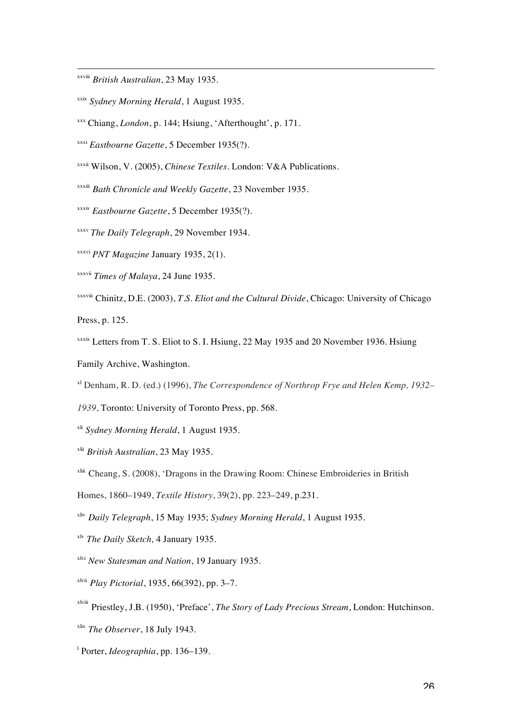xxviii *British Australian*, 23 May 1935.

l

- xxix *Sydney Morning Herald*, 1 August 1935.
- xxx Chiang, *London*, p. 144; Hsiung, 'Afterthought', p. 171.
- xxxi *Eastbourne Gazette*, 5 December 1935(?).
- xxxii Wilson, V. (2005), *Chinese Textiles.* London: V&A Publications.
- xxxiii *Bath Chronicle and Weekly Gazette*, 23 November 1935.
- xxxiv *Eastbourne Gazette*, 5 December 1935(?).
- xxxv *The Daily Telegraph*, 29 November 1934*.*
- xxxvi *PNT Magazine* January 1935, 2(1).
- xxxvii *Times of Malaya*, 24 June 1935.
- xxxviii Chinitz, D.E. (2003), *T.S. Eliot and the Cultural Divide*, Chicago: University of Chicago Press, p. 125.
- xxxix Letters from T. S. Eliot to S. I. Hsiung, 22 May 1935 and 20 November 1936. Hsiung Family Archive, Washington.

xl Denham, R. D. (ed.) (1996), *The Correspondence of Northrop Frye and Helen Kemp, 1932–*

- *1939*, Toronto: University of Toronto Press, pp. 568.
- xli *Sydney Morning Herald*, 1 August 1935.
- xlii *British Australian*, 23 May 1935.
- $x^{\text{Liii}}$  Cheang, S. (2008), 'Dragons in the Drawing Room: Chinese Embroideries in British
- Homes, 1860–1949, *Textile History*, 39(2), pp. 223–249, p.231.
- xliv *Daily Telegraph*, 15 May 1935; *Sydney Morning Herald*, 1 August 1935.
- xlv *The Daily Sketch,* 4 January 1935.
- xlvi *New Statesman and Nation*, 19 January 1935.
- xlvii *Play Pictorial*, 1935, 66(392), pp. 3–7.
- xlviii Priestley, J.B. (1950), 'Preface', *The Story of Lady Precious Stream*, London: Hutchinson.
- xlix *The Observer*, 18 July 1943.
- l Porter, *Ideographia*, pp. 136–139.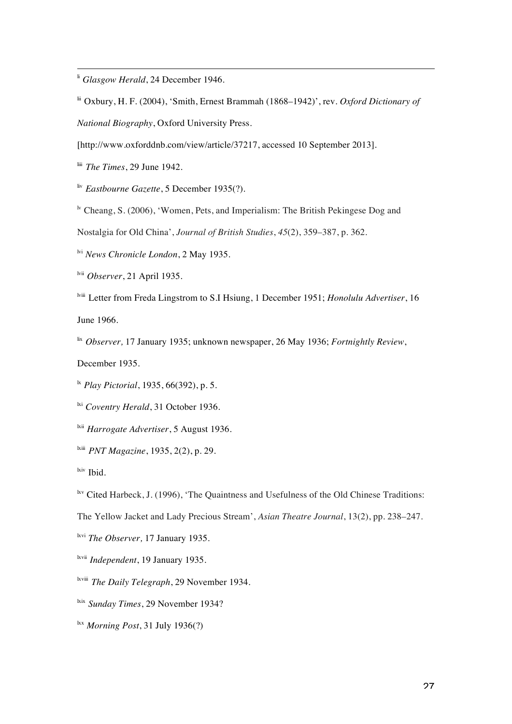li *Glasgow Herald*, 24 December 1946.

lii Oxbury, H. F. (2004), 'Smith, Ernest Brammah (1868–1942)', rev. *Oxford Dictionary of National Biography*, Oxford University Press.

[http://www.oxforddnb.com/view/article/37217, accessed 10 September 2013].

liii *The Times*, 29 June 1942.

l

liv *Eastbourne Gazette*, 5 December 1935(?).

<sup>1v</sup> Cheang, S. (2006), 'Women, Pets, and Imperialism: The British Pekingese Dog and

Nostalgia for Old China', *Journal of British Studies*, *45*(2), 359–387, p. 362.

lvi *News Chronicle London*, 2 May 1935.

lvii *Observer*, 21 April 1935.

lviii Letter from Freda Lingstrom to S.I Hsiung, 1 December 1951; *Honolulu Advertiser*, 16 June 1966.

lix *Observer,* 17 January 1935; unknown newspaper, 26 May 1936; *Fortnightly Review*,

December 1935.

lx *Play Pictorial*, 1935, 66(392), p. 5.

<sup>ki</sup> *Coventry Herald*, 31 October 1936.

<sup>lxii</sup> *Harrogate Advertiser*, 5 August 1936.

lxiii *PNT Magazine*, 1935, 2(2), p. 29.

<sup>kiv</sup> Ibid.

 $\frac{h}{k}$ <sup>lxv</sup> Cited Harbeck, J. (1996), 'The Quaintness and Usefulness of the Old Chinese Traditions:

The Yellow Jacket and Lady Precious Stream', *Asian Theatre Journal*, 13(2), pp. 238–247.

lxvi *The Observer,* 17 January 1935.

lxvii *Independent*, 19 January 1935.

lxviii *The Daily Telegraph*, 29 November 1934.

<sup>kix</sup> *Sunday Times*, 29 November 1934?

lxx *Morning Post*, 31 July 1936(?)